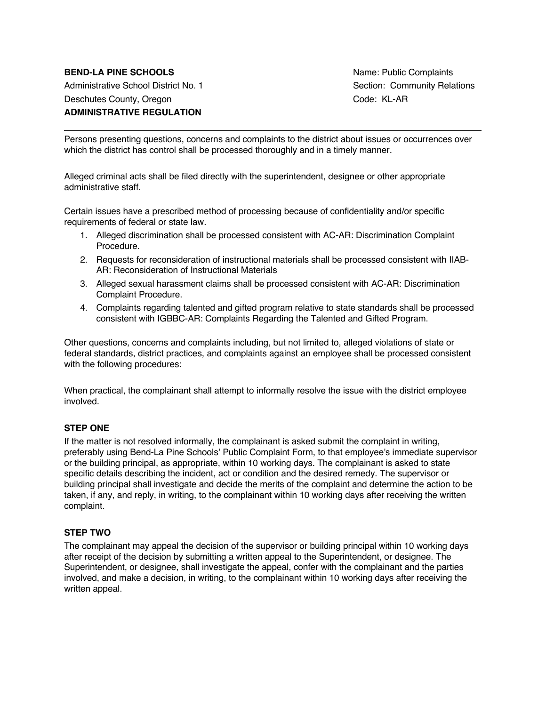# **BEND-LA PINE SCHOOLS Name: Public Complaints** Administrative School District No. 1 Section: Community Relations Deschutes County, Oregon Context Code: KL-AR **ADMINISTRATIVE REGULATION**

Persons presenting questions, concerns and complaints to the district about issues or occurrences over which the district has control shall be processed thoroughly and in a timely manner.

Alleged criminal acts shall be filed directly with the superintendent, designee or other appropriate administrative staff.

Certain issues have a prescribed method of processing because of confidentiality and/or specific requirements of federal or state law.

- 1. Alleged discrimination shall be processed consistent with AC-AR: Discrimination Complaint Procedure.
- 2. Requests for reconsideration of instructional materials shall be processed consistent with IIAB-AR: Reconsideration of Instructional Materials
- 3. Alleged sexual harassment claims shall be processed consistent with AC-AR: Discrimination Complaint Procedure.
- 4. Complaints regarding talented and gifted program relative to state standards shall be processed consistent with IGBBC-AR: Complaints Regarding the Talented and Gifted Program.

Other questions, concerns and complaints including, but not limited to, alleged violations of state or federal standards, district practices, and complaints against an employee shall be processed consistent with the following procedures:

When practical, the complainant shall attempt to informally resolve the issue with the district employee involved.

#### **STEP ONE**

If the matter is not resolved informally, the complainant is asked submit the complaint in writing, preferably using Bend-La Pine Schools' Public Complaint Form, to that employee's immediate supervisor or the building principal, as appropriate, within 10 working days. The complainant is asked to state specific details describing the incident, act or condition and the desired remedy. The supervisor or building principal shall investigate and decide the merits of the complaint and determine the action to be taken, if any, and reply, in writing, to the complainant within 10 working days after receiving the written complaint.

#### **STEP TWO**

The complainant may appeal the decision of the supervisor or building principal within 10 working days after receipt of the decision by submitting a written appeal to the Superintendent, or designee. The Superintendent, or designee, shall investigate the appeal, confer with the complainant and the parties involved, and make a decision, in writing, to the complainant within 10 working days after receiving the written appeal.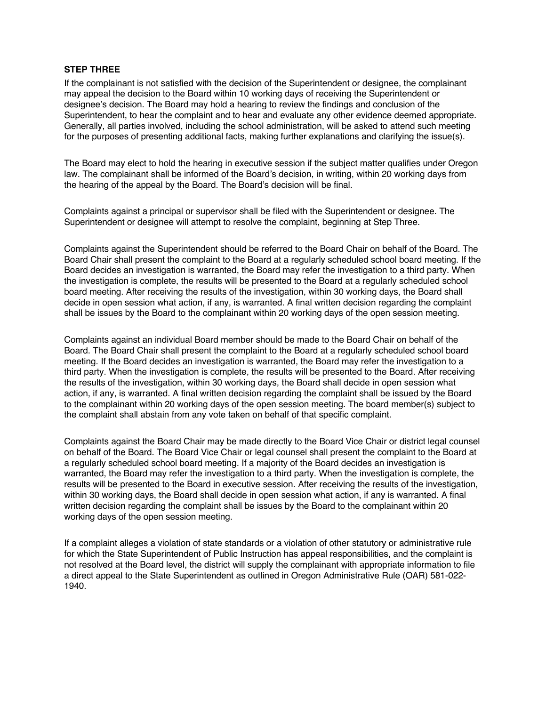#### **STEP THREE**

If the complainant is not satisfied with the decision of the Superintendent or designee, the complainant may appeal the decision to the Board within 10 working days of receiving the Superintendent or designee's decision. The Board may hold a hearing to review the findings and conclusion of the Superintendent, to hear the complaint and to hear and evaluate any other evidence deemed appropriate. Generally, all parties involved, including the school administration, will be asked to attend such meeting for the purposes of presenting additional facts, making further explanations and clarifying the issue(s).

The Board may elect to hold the hearing in executive session if the subject matter qualifies under Oregon law. The complainant shall be informed of the Board's decision, in writing, within 20 working days from the hearing of the appeal by the Board. The Board's decision will be final.

Complaints against a principal or supervisor shall be filed with the Superintendent or designee. The Superintendent or designee will attempt to resolve the complaint, beginning at Step Three.

Complaints against the Superintendent should be referred to the Board Chair on behalf of the Board. The Board Chair shall present the complaint to the Board at a regularly scheduled school board meeting. If the Board decides an investigation is warranted, the Board may refer the investigation to a third party. When the investigation is complete, the results will be presented to the Board at a regularly scheduled school board meeting. After receiving the results of the investigation, within 30 working days, the Board shall decide in open session what action, if any, is warranted. A final written decision regarding the complaint shall be issues by the Board to the complainant within 20 working days of the open session meeting.

Complaints against an individual Board member should be made to the Board Chair on behalf of the Board. The Board Chair shall present the complaint to the Board at a regularly scheduled school board meeting. If the Board decides an investigation is warranted, the Board may refer the investigation to a third party. When the investigation is complete, the results will be presented to the Board. After receiving the results of the investigation, within 30 working days, the Board shall decide in open session what action, if any, is warranted. A final written decision regarding the complaint shall be issued by the Board to the complainant within 20 working days of the open session meeting. The board member(s) subject to the complaint shall abstain from any vote taken on behalf of that specific complaint.

Complaints against the Board Chair may be made directly to the Board Vice Chair or district legal counsel on behalf of the Board. The Board Vice Chair or legal counsel shall present the complaint to the Board at a regularly scheduled school board meeting. If a majority of the Board decides an investigation is warranted, the Board may refer the investigation to a third party. When the investigation is complete, the results will be presented to the Board in executive session. After receiving the results of the investigation, within 30 working days, the Board shall decide in open session what action, if any is warranted. A final written decision regarding the complaint shall be issues by the Board to the complainant within 20 working days of the open session meeting.

If a complaint alleges a violation of state standards or a violation of other statutory or administrative rule for which the State Superintendent of Public Instruction has appeal responsibilities, and the complaint is not resolved at the Board level, the district will supply the complainant with appropriate information to file a direct appeal to the State Superintendent as outlined in Oregon Administrative Rule (OAR) 581-022- 1940.